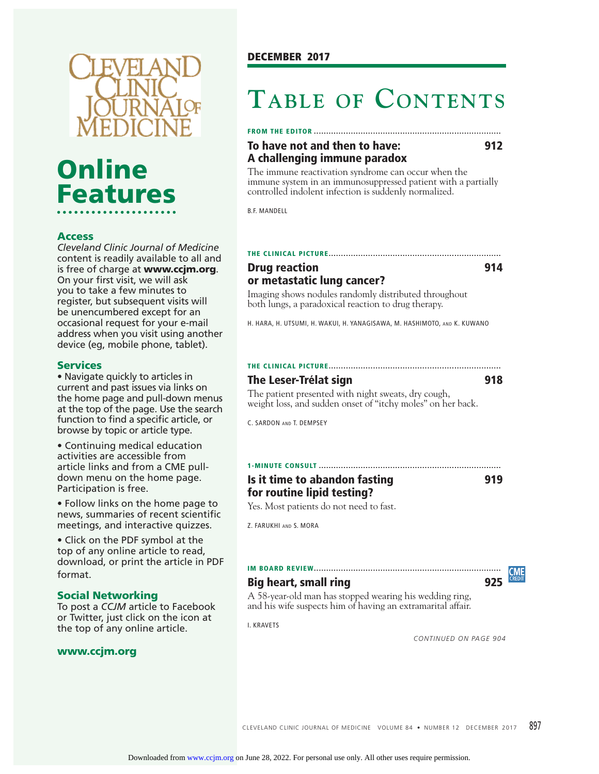

# **Online Features**

#### **Access**

*Cleveland Clinic Journal of Medicine*  content is readily available to all and is free of charge at **www.ccjm.org**. On your first visit, we will ask you to take a few minutes to register, but subsequent visits will be unencumbered except for an occasional request for your e-mail address when you visit using another device (eg, mobile phone, tablet).

#### **Services**

• Navigate quickly to articles in current and past issues via links on the home page and pull-down menus at the top of the page. Use the search function to find a specific article, or browse by topic or article type.

• Continuing medical education activities are accessible from article links and from a CME pulldown menu on the home page. Participation is free.

• Follow links on the home page to news, summaries of recent scientific meetings, and interactive quizzes.

• Click on the PDF symbol at the top of any online article to read, download, or print the article in PDF format.

#### **Social Networking**

To post a *CCJM* article to Facebook or Twitter, just click on the icon at the top of any online article.

#### **www.ccjm.org**

# **TABLE OF CONTENTS**

#### **FROM THE EDITOR ............................................................................**

#### **To have not and then to have: 912 A challenging immune paradox**

The immune reactivation syndrome can occur when the immune system in an immunosuppressed patient with a partially controlled indolent infection is suddenly normalized.

B.F. MANDELL

#### **THE CLINICAL PICTURE ...................................................................... Drug reaction 914**

## **or metastatic lung cancer?**

Imaging shows nodules randomly distributed throughout both lungs, a paradoxical reaction to drug therapy.

H. HARA, H. UTSUMI, H. WAKUI, H. YANAGISAWA, M. HASHIMOTO, AND K. KUWANO

#### **THE CLINICAL PICTURE ......................................................................**

#### **The Leser-Trélat sign 918**

The patient presented with night sweats, dry cough, weight loss, and sudden onset of "itchy moles" on her back.

C. SARDON AND T. DEMPSEY

#### **1-MINUTE CONSULT .......................................................................... Is it time to abandon fasting 919 for routine lipid testing?**

Yes. Most patients do not need to fast.

Z. FARUKHI AND S. MORA

#### **IM BOARD REVIEW ............................................................................**

#### **Big heart, small ring 825**



A 58-year-old man has stopped wearing his wedding ring, and his wife suspects him of having an extramarital affair.

I. KRAVETS

*CONTINUED ON PAGE 904*